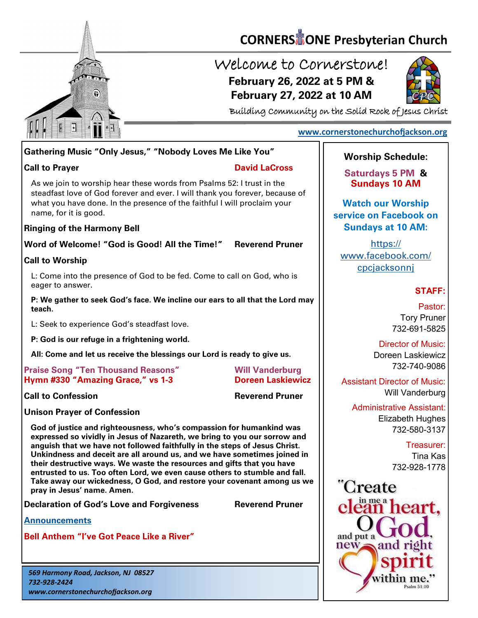

# **CORNERS** TONE Presbyterian Church

## Welcome to Cornerstone! **February 26, 2022 at 5 PM & February 27, 2022 at 10 AM**



Building Community on the Solid Rock of Jesus Christ

### **[www.cornerstonechurchofjackson.org](http://www.cornerstonechurchofjackson.org)**

## **Gathering Music "Only Jesus," "Nobody Loves Me Like You"**

#### **Call to Prayer David LaCross**

 steadfast love of God forever and ever. I will thank you forever, because of As we join to worship hear these words from Psalms 52: I trust in the what you have done. In the presence of the faithful I will proclaim your name, for it is good.

### **Ringing of the Harmony Bell**

**Word of Welcome! "God is Good! All the Time!" Reverend Pruner**

## **Call to Worship**

L: Come into the presence of God to be fed. Come to call on God, who is eager to answer.

**P: We gather to seek God's face. We incline our ears to all that the Lord may teach.**

L: Seek to experience God's steadfast love.

**P: God is our refuge in a frightening world.**

**All: Come and let us receive the blessings our Lord is ready to give us.**

#### **Praise Song "Ten Thousand Reasons" Will Vanderburg Hymn #330 "Amazing Grace," vs 1-3 Doreen Laskiewicz**

**Call to Confession Reverend Pruner**

**Unison Prayer of Confession**

**God of justice and righteousness, who's compassion for humankind was expressed so vividly in Jesus of Nazareth, we bring to you our sorrow and anguish that we have not followed faithfully in the steps of Jesus Christ. Unkindness and deceit are all around us, and we have sometimes joined in their destructive ways. We waste the resources and gifts that you have entrusted to us. Too often Lord, we even cause others to stumble and fall. Take away our wickedness, O God, and restore your covenant among us we pray in Jesus' name. Amen.**

**Declaration of God's Love and Forgiveness Reverend Pruner**

**[Announcements](http://cornerstonechurchofjackson.org/?page_id=2)**

**Bell Anthem "I've Got Peace Like a River"**

*569 Harmony Road, Jackson, NJ 08527 732-928-2424 www.cornerstonechurchofjackson.org*

## **Worship Schedule:**

**Saturdays 5 PM & Sundays 10 AM**

**Watch our Worship service on Facebook on Sundays at 10 AM:**

[https://](https://www.facebook.com/cpcjacksonnj) [www.facebook.com/](https://www.facebook.com/cpcjacksonnj) [cpcjacksonnj](https://www.facebook.com/cpcjacksonnj)

## **STAFF:**

Pastor: Tory Pruner 732-691-5825

Director of Music: Doreen Laskiewicz 732-740-9086

Assistant Director of Music: Will Vanderburg

Administrative Assistant: Elizabeth Hughes 732-580-3137

> Treasurer: Tina Kas 732-928-1778